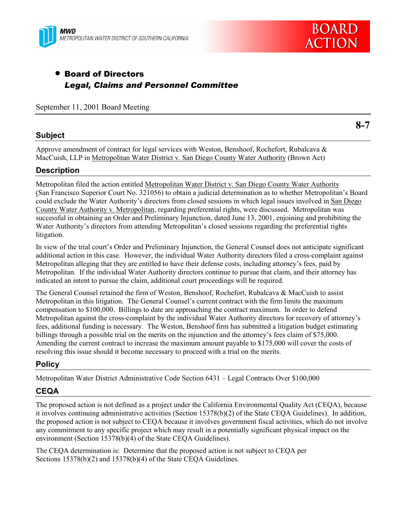



# • Board of Directors *Legal, Claims and Personnel Committee*

September 11, 2001 Board Meeting

## **Subject**

**8-7**

Approve amendment of contract for legal services with Weston, Benshoof, Rochefort, Rubalcava & MacCuish, LLP in Metropolitan Water District v. San Diego County Water Authority (Brown Act)

## **Description**

Metropolitan filed the action entitled Metropolitan Water District v. San Diego County Water Authority (San Francisco Superior Court No. 321056) to obtain a judicial determination as to whether Metropolitanís Board could exclude the Water Authorityís directors from closed sessions in which legal issues involved in San Diego County Water Authority v. Metropolitan, regarding preferential rights, were discussed. Metropolitan was successful in obtaining an Order and Preliminary Injunction, dated June 13, 2001, enjoining and prohibiting the Water Authority's directors from attending Metropolitan's closed sessions regarding the preferential rights litigation.

In view of the trial court's Order and Preliminary Injunction, the General Counsel does not anticipate significant additional action in this case. However, the individual Water Authority directors filed a cross-complaint against Metropolitan alleging that they are entitled to have their defense costs, including attorney's fees, paid by Metropolitan. If the individual Water Authority directors continue to pursue that claim, and their attorney has indicated an intent to pursue the claim, additional court proceedings will be required.

The General Counsel retained the firm of Weston, Benshoof, Rochefort, Rubalcava & MacCuish to assist Metropolitan in this litigation. The General Counsel's current contract with the firm limits the maximum compensation to \$100,000. Billings to date are approaching the contract maximum. In order to defend Metropolitan against the cross-complaint by the individual Water Authority directors for recovery of attorneyís fees, additional funding is necessary. The Weston, Benshoof firm has submitted a litigation budget estimating billings through a possible trial on the merits on the injunction and the attorney's fees claim of \$75,000. Amending the current contract to increase the maximum amount payable to \$175,000 will cover the costs of resolving this issue should it become necessary to proceed with a trial on the merits.

## **Policy**

Metropolitan Water District Administrative Code Section 6431 – Legal Contracts Over \$100,000

## **CEQA**

The proposed action is not defined as a project under the California Environmental Quality Act (CEQA), because it involves continuing administrative activities (Section 15378(b)(2) of the State CEQA Guidelines). In addition, the proposed action is not subject to CEQA because it involves government fiscal activities, which do not involve any commitment to any specific project which may result in a potentially significant physical impact on the environment (Section 15378(b)(4) of the State CEQA Guidelines).

The CEQA determination is: Determine that the proposed action is not subject to CEQA per Sections 15378(b)(2) and 15378(b)(4) of the State CEQA Guidelines.